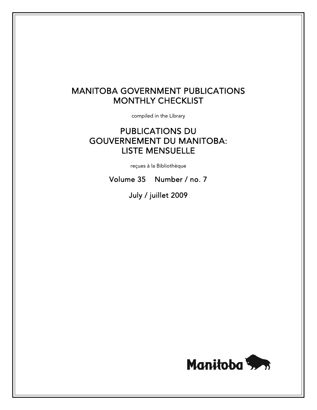# MANITOBA GOVERNMENT PUBLICATIONS MONTHLY CHECKLIST

compiled in the Library

# PUBLICATIONS DU GOUVERNEMENT DU MANITOBA: LISTE MENSUELLE

reçues à la Bibliothèque

Volume 35 Number / no. 7

July / juillet 2009

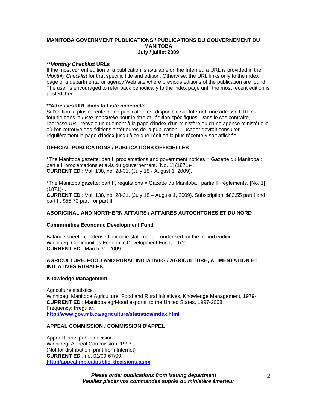# **MANITOBA GOVERNMENT PUBLICATIONS / PUBLICATIONS DU GOUVERNEMENT DU MANITOBA July / juillet 2009**

# *\*\*Monthly Checklist* **URLs**

If the most current edition of a publication is available on the Internet, a URL is provided in the *Monthly Checklist* for that specific title and edition. Otherwise, the URL links only to the index page of a departmental or agency Web site where previous editions of the publication are found. The user is encouraged to refer back periodically to the index page until the most recent edition is posted there.

# **\*\*Adresses URL dans la** *Liste mensuelle*

Si l'édition la plus récente d'une publication est disponible sur Internet, une adresse URL est fournie dans la *Liste mensuelle* pour le titre et l'édition spécifiques. Dans le cas contraire, l'adresse URL renvoie uniquement à la page d'index d'un ministère ou d'une agence ministérielle où l'on retrouve des éditions antérieures de la publication. L'usager devrait consulter régulièrement la page d'index jusqu'à ce que l'édition la plus récente y soit affichée.

# **OFFICIAL PUBLICATIONS / PUBLICATIONS OFFICIELLES**

\*The Manitoba gazette: part I, proclamations and government notices = Gazette du Manitoba : partie I, proclamations et avis du gouvernement. [No. 1] (1871)- . **CURRENT ED**.: Vol. 138, no. 28-31. (July 18 - August 1, 2009).

\*The Manitoba gazette: part II, regulations = Gazette du Manitoba : partie II, règlements. [No. 1]  $(1871) -$ .

**CURRENT ED**.: Vol. 138, no. 28-31. (July 18 – August 1, 2009). Subscription: \$83.55 part I and part II; \$55.70 part I or part II.

#### **ABORIGINAL AND NORTHERN AFFAIRS / AFFAIRES AUTOCHTONES ET DU NORD**

#### **Communities Economic Development Fund**

Balance sheet - condensed; income statement - condensed for the period ending... Winnipeg: Communities Economic Development Fund, 1972- **CURRENT ED**.: March 31, 2009.

#### **AGRICULTURE, FOOD AND RURAL INITIATIVES / AGRICULTURE, ALIMENTATION ET INITIATIVES RURALES**

#### **Knowledge Management**

Agriculture statistics. Winnipeg: Manitoba Agriculture, Food and Rural Initiatives, Knowledge Management, 1979- **CURRENT ED**.: Manitoba agri-food exports, to the United States, 1997-2008. Frequency: Irregular. **[http://www.gov.mb.ca/agriculture/statistics/index.html](https://www.gov.mb.ca/agriculture/statistics/index.html)** 

#### **APPEAL COMMISSION / COMMISSION D'APPEL**

Appeal Panel public decisions. Winnipeg: Appeal Commission, 1993- (Not for distribution, print from Internet) **CURRENT ED**.: no. 01/09-67/09. **[http://appeal.mb.ca/public\\_decisions.aspx](http://appeal.mb.ca/public_decisions.aspx)**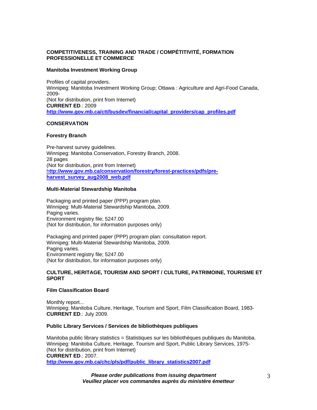# **COMPETITIVENESS, TRAINING AND TRADE / COMPÉTITIVITÉ, FORMATION PROFESSIONELLE ET COMMERCE**

#### **Manitoba Investment Working Group**

Profiles of capital providers. Winnipeg: Manitoba Investment Working Group; Ottawa : Agriculture and Agri-Food Canada, 2009- (Not for distribution, print from Internet) **CURRENT ED**.: 2009 **[http://www.gov.mb.ca/ctt/busdev/financial/capital\\_providers/cap\\_profiles.pdf](https://www.gov.mb.ca/ctt/busdev/financial/capital_providers/cap_profiles.pdf)**

#### **CONSERVATION**

#### **Forestry Branch**

Pre-harvest survey guidelines. Winnipeg: Manitoba Conservation, Forestry Branch, 2008. 28 pages (Not for distribution, print from Internet) h**[ttp://www.gov.mb.ca/conservation/forestry/forest-practices/pdfs/pre](https://www.gov.mb.ca/conservation/forestry/forest-practices/pdfs/pre-harvest_survey_aug2008_web.pdf)[harvest\\_survey\\_aug2008\\_web.pdf](https://www.gov.mb.ca/conservation/forestry/forest-practices/pdfs/pre-harvest_survey_aug2008_web.pdf)**

#### **Multi-Material Stewardship Manitoba**

Packaging and printed paper (PPP) program plan. Winnipeg: Multi-Material Stewardship Manitoba, 2009. Paging varies. Environment registry file; 5247.00 (Not for distribution, for information purposes only)

Packaging and printed paper (PPP) program plan: consultation report. Winnipeg: Multi-Material Stewardship Manitoba, 2009. Paging varies. Environment registry file; 5247.00 (Not for distribution, for information purposes only)

# **CULTURE, HERITAGE, TOURISM AND SPORT / CULTURE, PATRIMOINE, TOURISME ET SPORT**

# **Film Classification Board**

Monthly report... Winnipeg: Manitoba Culture, Heritage, Tourism and Sport, Film Classification Board, 1983- **CURRENT ED**.: July 2009.

#### **Public Library Services / Services de bibliothèques publiques**

Manitoba public library statistics = Statistiques sur les bibliothèques publiques du Manitoba. Winnipeg: Manitoba Culture, Heritage, Tourism and Sport, Public Library Services, 1975- (Not for distribution, print from Internet) **CURRENT ED**.: 2007. **[http://www.gov.mb.ca/chc/pls/pdf/public\\_library\\_statistics2007.pdf](https://www.gov.mb.ca/chc/pls/pdf/public_library_statistics2007.pdf)**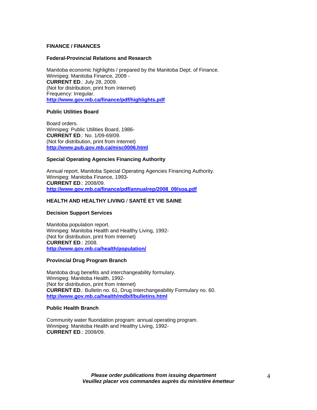#### **FINANCE / FINANCES**

#### **Federal-Provincial Relations and Research**

Manitoba economic highlights / prepared by the Manitoba Dept. of Finance. Winnipeg: Manitoba Finance, 2009 - **CURRENT ED**.: July 28, 2009. (Not for distribution, print from Internet) Frequency: Irregular. **[http://www.gov.mb.ca/finance/pdf/highlights.pdf](https://www.gov.mb.ca/finance/pdf/highlights.pdf)**

#### **Public Utilities Board**

Board orders. Winnipeg: Public Utilities Board, 1986- **CURRENT ED**.: No. 1/09-69/09. (Not for distribution, print from Internet) **<http://www.pub.gov.mb.ca/misc0006.html>** 

#### **Special Operating Agencies Financing Authority**

Annual report, Manitoba Special Operating Agencies Financing Authority. Winnipeg: Manitoba Finance, 1993- **CURRENT ED**.: 2008/09. **[http://www.gov.mb.ca/finance/pdf/annualrep/2008\\_09/soa.pdf](https://www.gov.mb.ca/finance/pdf/annualrep/2008_09/soa.pdf)**

#### **HEALTH AND HEALTHY LIVING** / **SANTÉ ET VIE SAINE**

#### **Decision Support Services**

Manitoba population report. Winnipeg: Manitoba Health and Healthy Living, 1992- (Not for distribution, print from Internet) **CURRENT ED**.: 2008. **[http://www.gov.mb.ca/health/population/](https://www.gov.mb.ca/health/population/)**

#### **Provincial Drug Program Branch**

Manitoba drug benefits and interchangeability formulary. Winnipeg: Manitoba Health, 1992- (Not for distribution, print from Internet) **CURRENT ED**.: Bulletin no. 61, Drug Interchangeability Formulary no. 60. **[http://www.gov.mb.ca/health/mdbif/bulletins.html](https://www.gov.mb.ca/health/mdbif/bulletins.html)**

#### **Public Health Branch**

Community water fluoridation program: annual operating program. Winnipeg: Manitoba Health and Healthy Living, 1992- **CURRENT ED**.: 2008/09.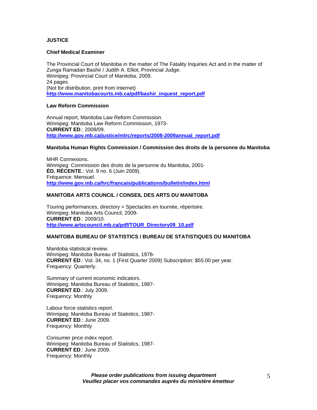# **JUSTICE**

#### **Chief Medical Examiner**

The Provincial Court of Manitoba in the matter of The Fatality Inquiries Act and in the matter of Zunga Ramadan Bashir / Judith A. Elliot, Provincial Judge. Winnipeg: Provincial Court of Manitoba, 2009. 24 pages (Not for distribution, print from Internet) **[http://www.manitobacourts.mb.ca/pdf/bashir\\_inquest\\_report.pdf](https://www.manitobacourts.mb.ca/pdf/bashir_inquest_report.pdf)**

#### **Law Reform Commission**

Annual report, Manitoba Law Reform Commission. Winnipeg: Manitoba Law Reform Commission, 1973- **CURRENT ED**.: 2008/09. **[http://www.gov.mb.ca/justice/mlrc/reports/2008-2009annual\\_report.pdf](https://www.gov.mb.ca/justice/mlrc/reports/2008-2009annual_report.pdf)**

#### **Manitoba Human Rights Commission / Commission des droits de la personne du Manitoba**

MHR Connexions. Winnipeg: Commission des droits de la personne du Manitoba, 2001- **ÉD. RÉCENTE**.: Vol. 9 no. 6 (Juin 2009). Fréquence: Mensuel. **[http://www.gov.mb.ca/hrc/francais/publications/bulletin/index.html](https://www.gov.mb.ca/hrc/francais/publications/bulletin/index.html)**

# **MANITOBA ARTS COUNCIL / CONSEIL DES ARTS DU MANITOBA**

Touring performances, directory = Spectacles en tournée, répertoire. Winnipeg: Manitoba Arts Council, 2009- **CURRENT ED**.: 2009/10. **[http://www.artscouncil.mb.ca/pdf/TOUR\\_Directory09\\_10.pdf](http://www.artscouncil.mb.ca/pdf/TOUR_Directory09_10.pdf)**

#### **MANITOBA BUREAU OF STATISTICS / BUREAU DE STATISTIQUES DU MANITOBA**

Manitoba statistical review. Winnipeg: Manitoba Bureau of Statistics, 1976- **CURRENT ED**.: Vol. 34, no. 1 (First Quarter 2009) Subscription: \$55.00 per year. Frequency: Quarterly.

Summary of current economic indicators. Winnipeg: Manitoba Bureau of Statistics, 1987- **CURRENT ED**.: July 2009. Frequency: Monthly

Labour force statistics report. Winnipeg: Manitoba Bureau of Statistics, 1987- **CURRENT ED**.: June 2009. Frequency: Monthly

Consumer price index report. Winnipeg: Manitoba Bureau of Statistics, 1987- **CURRENT ED**.: June 2009. Frequency: Monthly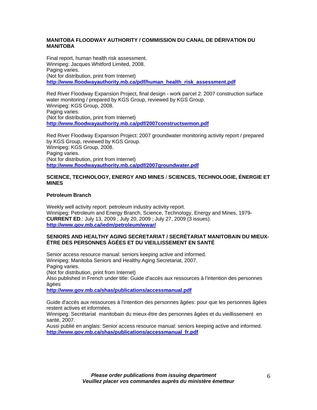# **MANITOBA FLOODWAY AUTHORITY / COMMISSION DU CANAL DE DÉRIVATION DU MANITOBA**

Final report, human health risk assessment. Winnipeg: Jacques Whitford Limited, 2008. Paging varies. (Not for distribution, print from Internet) **[http://www.floodwayauthority.mb.ca/pdf/human\\_health\\_risk\\_assessment.pdf](http://www.floodwayauthority.mb.ca/pdf/human_health_risk_assessment.pdf)**

Red River Floodway Expansion Project, final design - work parcel 2: 2007 construction surface water monitoring / prepared by KGS Group, reviewed by KGS Group. Winnipeg: KGS Group, 2008. Paging varies. (Not for distribution, print from Internet) **<http://www.floodwayauthority.mb.ca/pdf/2007constructswmon.pdf>**

Red River Floodway Expansion Project: 2007 groundwater monitoring activity report / prepared by KGS Group, reviewed by KGS Group. Winnipeg: KGS Group, 2008. Paging varies. (Not for distribution, print from Internet) **<http://www.floodwayauthority.mb.ca/pdf/2007groundwater.pdf>**

### **SCIENCE, TECHNOLOGY, ENERGY AND MINES** / **SCIENCES, TECHNOLOGIE, ÉNERGIE ET MINES**

# **Petroleum Branch**

Weekly well activity report: petroleum industry activity report. Winnipeg: Petroleum and Energy Branch, Science, Technology, Energy and Mines, 1979- **CURRENT ED**.: July 13, 2009 ; July 20, 2009 ; July 27, 2009 (3 issues). **[http://www.gov.mb.ca/iedm/petroleum/wwar/](https://www.gov.mb.ca/iedm/petroleum/wwar/)**

# **SENIORS AND HEALTHY AGING SECRETARIAT / SECRÉTARIAT MANITOBAIN DU MIEUX-ÊTRE DES PERSONNES ÂGÉES ET DU VIEILLISSEMENT EN SANTÉ**

Senior access resource manual: seniors keeping active and informed. Winnipeg: Manitoba Seniors and Healthy Aging Secretariat, 2007. Paging varies. (Not for distribution, print from Internet) Also published in French under title: Guide d'accès aux ressources à l'intention des personnes âgées **[http://www.gov.mb.ca/shas/publications/accessmanual.pdf](https://www.gov.mb.ca/shas/publications/accessmanual.pdf)**

Guide d'accès aux ressources à l'intention des personnes âgées: pour que les personnes âgées restent actives et informées.

Winnipeg: Secrétariat manitobain du mieux-être des personnes âgées et du vieillissement en santé, 2007.

Aussi publié en anglais: Senior access resource manual: seniors keeping active and informed. **[http://www.gov.mb.ca/shas/publications/accessmanual\\_fr.pdf](https://www.gov.mb.ca/shas/publications/accessmanual_fr.pdf)**